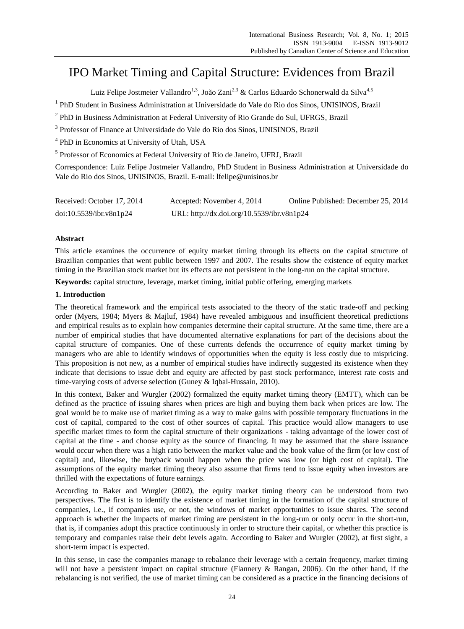# IPO Market Timing and Capital Structure: Evidences from Brazil

Luiz Felipe Jostmeier Vallandro<sup>1,3</sup>, João Zani<sup>2,3</sup> & Carlos Eduardo Schonerwald da Silva<sup>4,5</sup>

<sup>1</sup> PhD Student in Business Administration at Universidade do Vale do Rio dos Sinos, UNISINOS, Brazil

<sup>2</sup> PhD in Business Administration at Federal University of Rio Grande do Sul, UFRGS, Brazil

<sup>3</sup> Professor of Finance at Universidade do Vale do Rio dos Sinos, UNISINOS, Brazil

<sup>4</sup> PhD in Economics at University of Utah, USA

<sup>5</sup> Professor of Economics at Federal University of Rio de Janeiro, UFRJ, Brazil

Correspondence: Luiz Felipe Jostmeier Vallandro, PhD Student in Business Administration at Universidade do Vale do Rio dos Sinos, UNISINOS, Brazil. E-mail: lfelipe@unisinos.br

| Received: October 17, 2014 | Accepted: November 4, 2014                 | Online Published: December 25, 2014 |
|----------------------------|--------------------------------------------|-------------------------------------|
| doi:10.5539/ibr.v8n1p24    | URL: http://dx.doi.org/10.5539/ibr.v8n1p24 |                                     |

## **Abstract**

This article examines the occurrence of equity market timing through its effects on the capital structure of Brazilian companies that went public between 1997 and 2007. The results show the existence of equity market timing in the Brazilian stock market but its effects are not persistent in the long-run on the capital structure.

**Keywords:** capital structure, leverage, market timing, initial public offering, emerging markets

## **1. Introduction**

The theoretical framework and the empirical tests associated to the theory of the static trade-off and pecking order (Myers, 1984; Myers & Majluf, 1984) have revealed ambiguous and insufficient theoretical predictions and empirical results as to explain how companies determine their capital structure. At the same time, there are a number of empirical studies that have documented alternative explanations for part of the decisions about the capital structure of companies. One of these currents defends the occurrence of equity market timing by managers who are able to identify windows of opportunities when the equity is less costly due to mispricing. This proposition is not new, as a number of empirical studies have indirectly suggested its existence when they indicate that decisions to issue debt and equity are affected by past stock performance, interest rate costs and time-varying costs of adverse selection (Guney & Iqbal-Hussain, 2010).

In this context, Baker and Wurgler (2002) formalized the equity market timing theory (EMTT), which can be defined as the practice of issuing shares when prices are high and buying them back when prices are low. The goal would be to make use of market timing as a way to make gains with possible temporary fluctuations in the cost of capital, compared to the cost of other sources of capital. This practice would allow managers to use specific market times to form the capital structure of their organizations - taking advantage of the lower cost of capital at the time - and choose equity as the source of financing. It may be assumed that the share issuance would occur when there was a high ratio between the market value and the book value of the firm (or low cost of capital) and, likewise, the buyback would happen when the price was low (or high cost of capital). The assumptions of the equity market timing theory also assume that firms tend to issue equity when investors are thrilled with the expectations of future earnings.

According to Baker and Wurgler (2002), the equity market timing theory can be understood from two perspectives. The first is to identify the existence of market timing in the formation of the capital structure of companies, i.e., if companies use, or not, the windows of market opportunities to issue shares. The second approach is whether the impacts of market timing are persistent in the long-run or only occur in the short-run, that is, if companies adopt this practice continuously in order to structure their capital, or whether this practice is temporary and companies raise their debt levels again. According to Baker and Wurgler (2002), at first sight, a short-term impact is expected.

In this sense, in case the companies manage to rebalance their leverage with a certain frequency, market timing will not have a persistent impact on capital structure (Flannery & Rangan, 2006). On the other hand, if the rebalancing is not verified, the use of market timing can be considered as a practice in the financing decisions of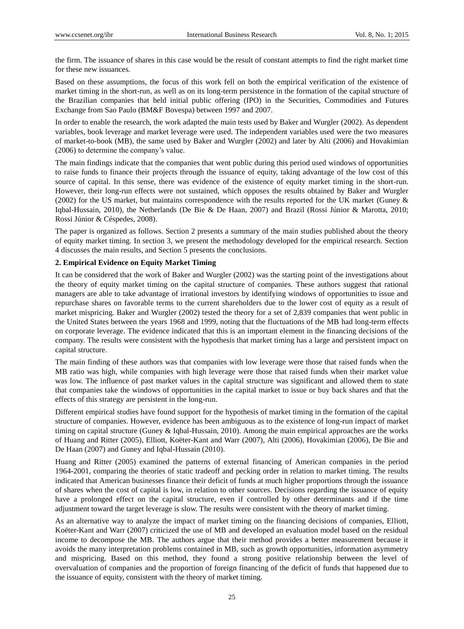the firm. The issuance of shares in this case would be the result of constant attempts to find the right market time for these new issuances.

Based on these assumptions, the focus of this work fell on both the empirical verification of the existence of market timing in the short-run, as well as on its long-term persistence in the formation of the capital structure of the Brazilian companies that held initial public offering (IPO) in the Securities, Commodities and Futures Exchange from Sao Paulo (BM&F Bovespa) between 1997 and 2007.

In order to enable the research, the work adapted the main tests used by Baker and Wurgler (2002). As dependent variables, book leverage and market leverage were used. The independent variables used were the two measures of market-to-book (MB), the same used by Baker and Wurgler (2002) and later by Alti (2006) and Hovakimian (2006) to determine the company's value.

The main findings indicate that the companies that went public during this period used windows of opportunities to raise funds to finance their projects through the issuance of equity, taking advantage of the low cost of this source of capital. In this sense, there was evidence of the existence of equity market timing in the short-run. However, their long-run effects were not sustained, which opposes the results obtained by Baker and Wurgler (2002) for the US market, but maintains correspondence with the results reported for the UK market (Guney & Iqbal-Hussain, 2010), the Netherlands (De Bie & De Haan, 2007) and Brazil (Rossi Júnior & Marotta, 2010; Rossi Júnior & Céspedes, 2008).

The paper is organized as follows. Section 2 presents a summary of the main studies published about the theory of equity market timing. In section 3, we present the methodology developed for the empirical research. Section 4 discusses the main results, and Section 5 presents the conclusions.

## **2. Empirical Evidence on Equity Market Timing**

It can be considered that the work of Baker and Wurgler (2002) was the starting point of the investigations about the theory of equity market timing on the capital structure of companies. These authors suggest that rational managers are able to take advantage of irrational investors by identifying windows of opportunities to issue and repurchase shares on favorable terms to the current shareholders due to the lower cost of equity as a result of market mispricing. Baker and Wurgler (2002) tested the theory for a set of 2,839 companies that went public in the United States between the years 1968 and 1999, noting that the fluctuations of the MB had long-term effects on corporate leverage. The evidence indicated that this is an important element in the financing decisions of the company. The results were consistent with the hypothesis that market timing has a large and persistent impact on capital structure.

The main finding of these authors was that companies with low leverage were those that raised funds when the MB ratio was high, while companies with high leverage were those that raised funds when their market value was low. The influence of past market values in the capital structure was significant and allowed them to state that companies take the windows of opportunities in the capital market to issue or buy back shares and that the effects of this strategy are persistent in the long-run.

Different empirical studies have found support for the hypothesis of market timing in the formation of the capital structure of companies. However, evidence has been ambiguous as to the existence of long-run impact of market timing on capital structure (Guney & Iqbal-Hussain, 2010). Among the main empirical approaches are the works of Huang and Ritter (2005), Elliott, Koëter-Kant and Warr (2007), Alti (2006), Hovakimian (2006), De Bie and De Haan (2007) and Guney and Iqbal-Hussain (2010).

Huang and Ritter (2005) examined the patterns of external financing of American companies in the period 1964-2001, comparing the theories of static tradeoff and pecking order in relation to market timing. The results indicated that American businesses finance their deficit of funds at much higher proportions through the issuance of shares when the cost of capital is low, in relation to other sources. Decisions regarding the issuance of equity have a prolonged effect on the capital structure, even if controlled by other determinants and if the time adjustment toward the target leverage is slow. The results were consistent with the theory of market timing.

As an alternative way to analyze the impact of market timing on the financing decisions of companies, Elliott, Koëter-Kant and Warr (2007) criticized the use of MB and developed an evaluation model based on the residual income to decompose the MB. The authors argue that their method provides a better measurement because it avoids the many interpretation problems contained in MB, such as growth opportunities, information asymmetry and mispricing. Based on this method, they found a strong positive relationship between the level of overvaluation of companies and the proportion of foreign financing of the deficit of funds that happened due to the issuance of equity, consistent with the theory of market timing.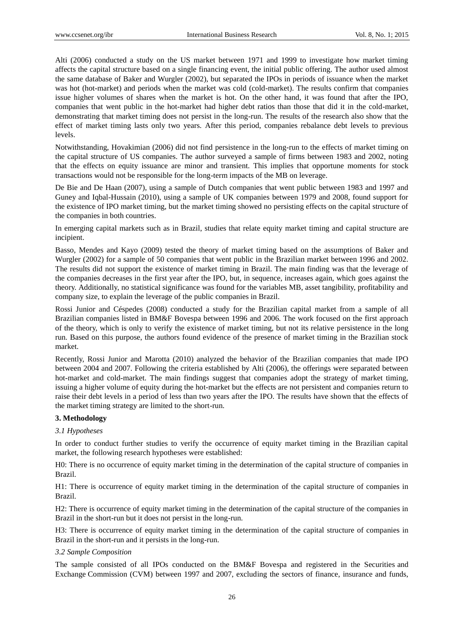Alti (2006) conducted a study on the US market between 1971 and 1999 to investigate how market timing affects the capital structure based on a single financing event, the initial public offering. The author used almost the same database of Baker and Wurgler (2002), but separated the IPOs in periods of issuance when the market was hot (hot-market) and periods when the market was cold (cold-market). The results confirm that companies issue higher volumes of shares when the market is hot. On the other hand, it was found that after the IPO, companies that went public in the hot-market had higher debt ratios than those that did it in the cold-market, demonstrating that market timing does not persist in the long-run. The results of the research also show that the effect of market timing lasts only two years. After this period, companies rebalance debt levels to previous levels.

Notwithstanding, Hovakimian (2006) did not find persistence in the long-run to the effects of market timing on the capital structure of US companies. The author surveyed a sample of firms between 1983 and 2002, noting that the effects on equity issuance are minor and transient. This implies that opportune moments for stock transactions would not be responsible for the long-term impacts of the MB on leverage.

De Bie and De Haan (2007), using a sample of Dutch companies that went public between 1983 and 1997 and Guney and Iqbal-Hussain (2010), using a sample of UK companies between 1979 and 2008, found support for the existence of IPO market timing, but the market timing showed no persisting effects on the capital structure of the companies in both countries.

In emerging capital markets such as in Brazil, studies that relate equity market timing and capital structure are incipient.

Basso, Mendes and Kayo (2009) tested the theory of market timing based on the assumptions of Baker and Wurgler (2002) for a sample of 50 companies that went public in the Brazilian market between 1996 and 2002. The results did not support the existence of market timing in Brazil. The main finding was that the leverage of the companies decreases in the first year after the IPO, but, in sequence, increases again, which goes against the theory. Additionally, no statistical significance was found for the variables MB, asset tangibility, profitability and company size, to explain the leverage of the public companies in Brazil.

Rossi Junior and Céspedes (2008) conducted a study for the Brazilian capital market from a sample of all Brazilian companies listed in BM&F Bovespa between 1996 and 2006. The work focused on the first approach of the theory, which is only to verify the existence of market timing, but not its relative persistence in the long run. Based on this purpose, the authors found evidence of the presence of market timing in the Brazilian stock market.

Recently, Rossi Junior and Marotta (2010) analyzed the behavior of the Brazilian companies that made IPO between 2004 and 2007. Following the criteria established by Alti (2006), the offerings were separated between hot-market and cold-market. The main findings suggest that companies adopt the strategy of market timing, issuing a higher volume of equity during the hot-market but the effects are not persistent and companies return to raise their debt levels in a period of less than two years after the IPO. The results have shown that the effects of the market timing strategy are limited to the short-run.

## **3. Methodology**

## *3.1 Hypotheses*

In order to conduct further studies to verify the occurrence of equity market timing in the Brazilian capital market, the following research hypotheses were established:

H0: There is no occurrence of equity market timing in the determination of the capital structure of companies in Brazil.

H1: There is occurrence of equity market timing in the determination of the capital structure of companies in Brazil.

H2: There is occurrence of equity market timing in the determination of the capital structure of the companies in Brazil in the short-run but it does not persist in the long-run.

H3: There is occurrence of equity market timing in the determination of the capital structure of companies in Brazil in the short-run and it persists in the long-run.

## *3.2 Sample Composition*

The sample consisted of all IPOs conducted on the BM&F Bovespa and registered in the Securities and Exchange Commission (CVM) between 1997 and 2007, excluding the sectors of finance, insurance and funds,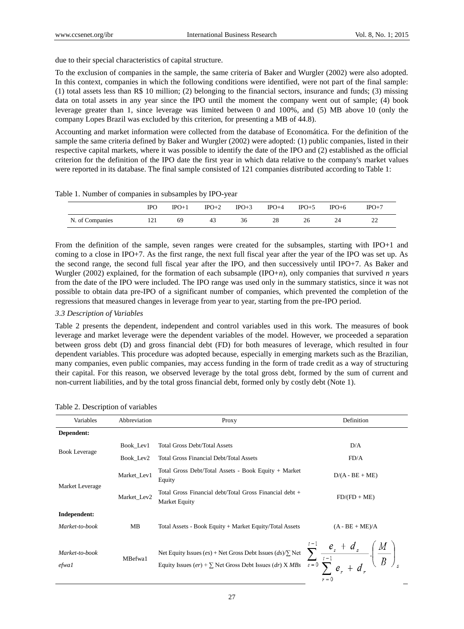due to their special characteristics of capital structure.

To the exclusion of companies in the sample, the same criteria of Baker and Wurgler (2002) were also adopted. In this context, companies in which the following conditions were identified, were not part of the final sample: (1) total assets less than R\$ 10 million; (2) belonging to the financial sectors, insurance and funds; (3) missing data on total assets in any year since the IPO until the moment the company went out of sample; (4) book leverage greater than 1, since leverage was limited between 0 and 100%, and (5) MB above 10 (only the company Lopes Brazil was excluded by this criterion, for presenting a MB of 44.8).

Accounting and market information were collected from the database of Economática. For the definition of the sample the same criteria defined by Baker and Wurgler (2002) were adopted: (1) public companies, listed in their respective capital markets, where it was possible to identify the date of the IPO and (2) established as the official criterion for the definition of the IPO date the first year in which data relative to the company's market values were reported in its database. The final sample consisted of 121 companies distributed according to Table 1:

| Table 1. Number of companies in subsamples by IPO-year |  |  |  |
|--------------------------------------------------------|--|--|--|
|--------------------------------------------------------|--|--|--|

|                 | IΡO | $IPO+1$ | $IPO+2$ | $IPO+3$ | $IPO+4$ | $IPO+5$ | $IPO+6$ | $IPO+7$ |
|-----------------|-----|---------|---------|---------|---------|---------|---------|---------|
| N. of Companies | 121 | 69      | 43      | 36      | 28      | 26      |         | ∸       |

From the definition of the sample, seven ranges were created for the subsamples, starting with IPO+1 and coming to a close in IPO+7. As the first range, the next full fiscal year after the year of the IPO was set up. As the second range, the second full fiscal year after the IPO, and then successively until IPO+7. As Baker and Wurgler (2002) explained, for the formation of each subsample (IPO+*n*), only companies that survived *n* years from the date of the IPO were included. The IPO range was used only in the summary statistics, since it was not possible to obtain data pre-IPO of a significant number of companies, which prevented the completion of the regressions that measured changes in leverage from year to year, starting from the pre-IPO period.

## *3.3 Description of Variables*

Table 2 presents the dependent, independent and control variables used in this work. The measures of book leverage and market leverage were the dependent variables of the model. However, we proceeded a separation between gross debt (D) and gross financial debt (FD) for both measures of leverage, which resulted in four dependent variables. This procedure was adopted because, especially in emerging markets such as the Brazilian, many companies, even public companies, may access funding in the form of trade credit as a way of structuring their capital. For this reason, we observed leverage by the total gross debt, formed by the sum of current and non-current liabilities, and by the total gross financial debt, formed only by costly debt (Note 1).

| Variables               | Abbreviation | Proxy                                                                                                                                                                                                                                                                                                 | Definition        |
|-------------------------|--------------|-------------------------------------------------------------------------------------------------------------------------------------------------------------------------------------------------------------------------------------------------------------------------------------------------------|-------------------|
| Dependent:              |              |                                                                                                                                                                                                                                                                                                       |                   |
|                         | Book Lev1    | <b>Total Gross Debt/Total Assets</b>                                                                                                                                                                                                                                                                  | D/A               |
| <b>Book Leverage</b>    | Book_Lev2    | <b>Total Gross Financial Debt/Total Assets</b>                                                                                                                                                                                                                                                        | FD/A              |
|                         | Market_Lev1  | Total Gross Debt/Total Assets - Book Equity + Market<br>Equity                                                                                                                                                                                                                                        | $D/(A - BE + ME)$ |
| Market Leverage         | Market Lev2  | Total Gross Financial debt/Total Gross Financial debt +<br>Market Equity                                                                                                                                                                                                                              | $FD/(FD + ME)$    |
| Independent:            |              |                                                                                                                                                                                                                                                                                                       |                   |
| Market-to-book          | MВ           | Total Assets - Book Equity + Market Equity/Total Assets                                                                                                                                                                                                                                               | $(A - BE + ME)/A$ |
| Market-to-book<br>efwal | MBefwa1      | Net Equity Issues (es) + Net Gross Debt Issues (ds)/ $\sum$ Net $\sum_{s=0}^{t-1} \frac{e_s + d_s}{\sum_{r=1}^{t-1} e_r + d_r} \cdot \left(\frac{M}{B}\right)_s$<br>Equity Issues (er) + $\sum$ Net Gross Debt Issues (dr) $X \, MBs$ $\sum_{s=0}^{t-1} \frac{e_s + d_s}{\sum_{r=0}^{t-1} e_r + d_r}$ | $r = 0$           |

#### Table 2. Description of variables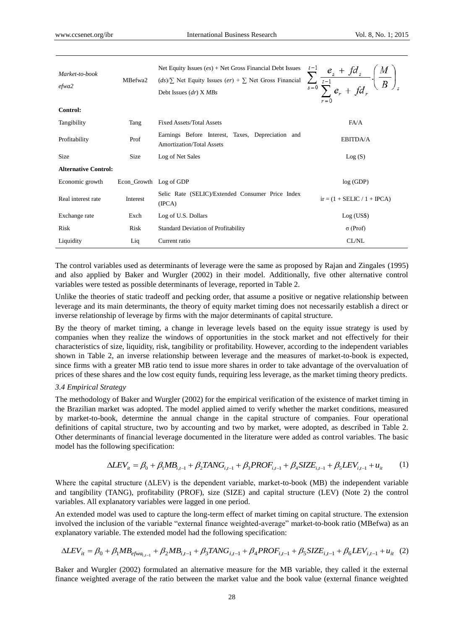| Market-to-book<br>$e$ fwa $2$ | MBefwa2                | Net Equity Issues $(es)$ + Net Gross Financial Debt Issues<br>$(ds)/\sum$ Net Equity Issues $(er) + \sum$ Net Gross Financial<br>Debt Issues $(dr)$ X <i>MBs</i> | $\sum_{s=0}^{t-1} \frac{e_s + fd_s}{\sum e_r + fd_r} \left(\frac{M}{B}\right)_s$<br>$r = 0$ |
|-------------------------------|------------------------|------------------------------------------------------------------------------------------------------------------------------------------------------------------|---------------------------------------------------------------------------------------------|
| Control:                      |                        |                                                                                                                                                                  |                                                                                             |
| Tangibility                   | Tang                   | <b>Fixed Assets/Total Assets</b>                                                                                                                                 | FA/A                                                                                        |
| Profitability                 | Prof                   | Earnings Before Interest, Taxes, Depreciation and<br><b>Amortization/Total Assets</b>                                                                            | EBITDA/A                                                                                    |
| Size                          | Size                   | Log of Net Sales                                                                                                                                                 | Log(S)                                                                                      |
| <b>Alternative Control:</b>   |                        |                                                                                                                                                                  |                                                                                             |
| Economic growth               | Econ_Growth Log of GDP |                                                                                                                                                                  | log(GDP)                                                                                    |
| Real interest rate            | Interest               | Selic Rate (SELIC)/Extended Consumer Price Index<br>(IPCA)                                                                                                       | $ir = (1 + SELIC / 1 + IPCA)$                                                               |
| Exchange rate                 | Exch                   | Log of U.S. Dollars                                                                                                                                              | Log (USS)                                                                                   |
| Risk                          | Risk                   | <b>Standard Deviation of Profitability</b>                                                                                                                       | $\sigma$ (Prof)                                                                             |
| Liquidity                     | Liq                    | Current ratio                                                                                                                                                    | CL/NL                                                                                       |

The control variables used as determinants of leverage were the same as proposed by Rajan and Zingales (1995) and also applied by Baker and Wurgler (2002) in their model. Additionally, five other alternative control variables were tested as possible determinants of leverage, reported in Table 2.

Unlike the theories of static tradeoff and pecking order, that assume a positive or negative relationship between leverage and its main determinants, the theory of equity market timing does not necessarily establish a direct or inverse relationship of leverage by firms with the major determinants of capital structure.

By the theory of market timing, a change in leverage levels based on the equity issue strategy is used by companies when they realize the windows of opportunities in the stock market and not effectively for their characteristics of size, liquidity, risk, tangibility or profitability. However, according to the independent variables shown in Table 2, an inverse relationship between leverage and the measures of market-to-book is expected, since firms with a greater MB ratio tend to issue more shares in order to take advantage of the overvaluation of prices of these shares and the low cost equity funds, requiring less leverage, as the market timing theory predicts.

#### *3.4 Empirical Strategy*

The methodology of Baker and Wurgler (2002) for the empirical verification of the existence of market timing in the Brazilian market was adopted. The model applied aimed to verify whether the market conditions, measured by market-to-book, determine the annual change in the capital structure of companies. Four operational definitions of capital structure, two by accounting and two by market, were adopted, as described in Table 2. Other determinants of financial leverage documented in the literature were added as control variables. The basic model has the following specification:

$$
\Delta LEV_{it} = \beta_0 + \beta_1 MB_{i,t-1} + \beta_2 T ANG_{i,t-1} + \beta_3 PROF_{i,t-1} + \beta_4 SIZE_{i,t-1} + \beta_5 LEV_{i,t-1} + u_{it} \tag{1}
$$

Where the capital structure (ΔLEV) is the dependent variable, market-to-book (MB) the independent variable and tangibility (TANG), profitability (PROF), size (SIZE) and capital structure (LEV) (Note 2) the control variables. All explanatory variables were lagged in one period.

An extended model was used to capture the long-term effect of market timing on capital structure. The extension involved the inclusion of the variable "external finance weighted-average" market-to-book ratio (MBefwa) as an explanatory variable. The extended model had the following specification:

$$
\Delta LEV_{it} = \beta_0 + \beta_1 MB_{e f w a_{i,t-1}} + \beta_2 MB_{i,t-1} + \beta_3 T ANG_{i,t-1} + \beta_4 PROF_{i,t-1} + \beta_5 SIZE_{i,t-1} + \beta_6 LEV_{i,t-1} + u_{it} \quad (2)
$$

Baker and Wurgler (2002) formulated an alternative measure for the MB variable, they called it the external finance weighted average of the ratio between the market value and the book value (external finance weighted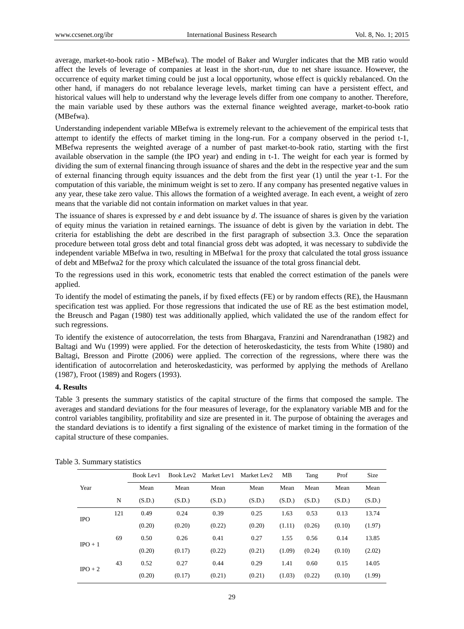average, market-to-book ratio - MBefwa). The model of Baker and Wurgler indicates that the MB ratio would affect the levels of leverage of companies at least in the short-run, due to net share issuance. However, the occurrence of equity market timing could be just a local opportunity, whose effect is quickly rebalanced. On the other hand, if managers do not rebalance leverage levels, market timing can have a persistent effect, and historical values will help to understand why the leverage levels differ from one company to another. Therefore, the main variable used by these authors was the external finance weighted average, market-to-book ratio (MBefwa).

Understanding independent variable MBefwa is extremely relevant to the achievement of the empirical tests that attempt to identify the effects of market timing in the long-run. For a company observed in the period t-1, MBefwa represents the weighted average of a number of past market-to-book ratio, starting with the first available observation in the sample (the IPO year) and ending in t-1. The weight for each year is formed by dividing the sum of external financing through issuance of shares and the debt in the respective year and the sum of external financing through equity issuances and the debt from the first year (1) until the year t-1. For the computation of this variable, the minimum weight is set to zero. If any company has presented negative values in any year, these take zero value. This allows the formation of a weighted average. In each event, a weight of zero means that the variable did not contain information on market values in that year.

The issuance of shares is expressed by *e* and debt issuance by *d*. The issuance of shares is given by the variation of equity minus the variation in retained earnings. The issuance of debt is given by the variation in debt. The criteria for establishing the debt are described in the first paragraph of subsection 3.3. Once the separation procedure between total gross debt and total financial gross debt was adopted, it was necessary to subdivide the independent variable MBefwa in two, resulting in MBefwa1 for the proxy that calculated the total gross issuance of debt and MBefwa2 for the proxy which calculated the issuance of the total gross financial debt.

To the regressions used in this work, econometric tests that enabled the correct estimation of the panels were applied.

To identify the model of estimating the panels, if by fixed effects (FE) or by random effects (RE), the Hausmann specification test was applied. For those regressions that indicated the use of RE as the best estimation model, the Breusch and Pagan (1980) test was additionally applied, which validated the use of the random effect for such regressions.

To identify the existence of autocorrelation, the tests from Bhargava, Franzini and Narendranathan (1982) and Baltagi and Wu (1999) were applied. For the detection of heteroskedasticity, the tests from White (1980) and Baltagi, Bresson and Pirotte (2006) were applied. The correction of the regressions, where there was the identification of autocorrelation and heteroskedasticity, was performed by applying the methods of Arellano (1987), Froot (1989) and Rogers (1993).

## **4. Results**

Table 3 presents the summary statistics of the capital structure of the firms that composed the sample. The averages and standard deviations for the four measures of leverage, for the explanatory variable MB and for the control variables tangibility, profitability and size are presented in it. The purpose of obtaining the averages and the standard deviations is to identify a first signaling of the existence of market timing in the formation of the capital structure of these companies.

|            |     | Book Lev1 |        | Book Lev2 Market Lev1 | Market Lev <sub>2</sub> | MB     | Tang   | Prof   | Size   |
|------------|-----|-----------|--------|-----------------------|-------------------------|--------|--------|--------|--------|
| Year       |     | Mean      | Mean   | Mean                  | Mean                    | Mean   | Mean   | Mean   | Mean   |
|            | N   | (S.D.)    | (S.D.) | (S.D.)                | (S.D.)                  | (S.D.) | (S.D.) | (S.D.) | (S.D.) |
| <b>IPO</b> | 121 | 0.49      | 0.24   | 0.39                  | 0.25                    | 1.63   | 0.53   | 0.13   | 13.74  |
|            |     | (0.20)    | (0.20) | (0.22)                | (0.20)                  | (1.11) | (0.26) | (0.10) | (1.97) |
|            | 69  | 0.50      | 0.26   | 0.41                  | 0.27                    | 1.55   | 0.56   | 0.14   | 13.85  |
| $IPO + 1$  |     | (0.20)    | (0.17) | (0.22)                | (0.21)                  | (1.09) | (0.24) | (0.10) | (2.02) |
|            | 43  | 0.52      | 0.27   | 0.44                  | 0.29                    | 1.41   | 0.60   | 0.15   | 14.05  |
| $IPO + 2$  |     | (0.20)    | (0.17) | (0.21)                | (0.21)                  | (1.03) | (0.22) | (0.10) | (1.99) |

Table 3. Summary statistics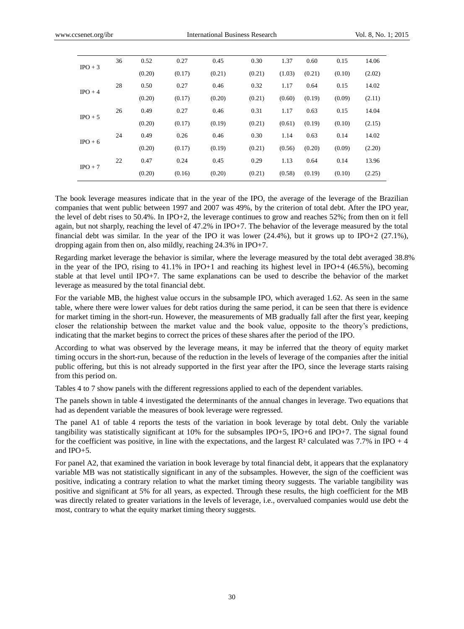| $IPO + 3$ | 36 | 0.52   | 0.27   | 0.45   | 0.30   | 1.37   | 0.60   | 0.15   | 14.06  |
|-----------|----|--------|--------|--------|--------|--------|--------|--------|--------|
|           |    | (0.20) | (0.17) | (0.21) | (0.21) | (1.03) | (0.21) | (0.10) | (2.02) |
| $IPO + 4$ | 28 | 0.50   | 0.27   | 0.46   | 0.32   | 1.17   | 0.64   | 0.15   | 14.02  |
|           |    | (0.20) | (0.17) | (0.20) | (0.21) | (0.60) | (0.19) | (0.09) | (2.11) |
| $IPO + 5$ | 26 | 0.49   | 0.27   | 0.46   | 0.31   | 1.17   | 0.63   | 0.15   | 14.04  |
|           |    | (0.20) | (0.17) | (0.19) | (0.21) | (0.61) | (0.19) | (0.10) | (2.15) |
|           | 24 | 0.49   | 0.26   | 0.46   | 0.30   | 1.14   | 0.63   | 0.14   | 14.02  |
| $IPO + 6$ |    | (0.20) | (0.17) | (0.19) | (0.21) | (0.56) | (0.20) | (0.09) | (2.20) |
|           | 22 | 0.47   | 0.24   | 0.45   | 0.29   | 1.13   | 0.64   | 0.14   | 13.96  |
| $IPO + 7$ |    | (0.20) | (0.16) | (0.20) | (0.21) | (0.58) | (0.19) | (0.10) | (2.25) |

The book leverage measures indicate that in the year of the IPO, the average of the leverage of the Brazilian companies that went public between 1997 and 2007 was 49%, by the criterion of total debt. After the IPO year, the level of debt rises to 50.4%. In IPO+2, the leverage continues to grow and reaches 52%; from then on it fell again, but not sharply, reaching the level of 47.2% in IPO+7. The behavior of the leverage measured by the total financial debt was similar. In the year of the IPO it was lower  $(24.4\%)$ , but it grows up to IPO+2  $(27.1\%)$ , dropping again from then on, also mildly, reaching 24.3% in IPO+7.

Regarding market leverage the behavior is similar, where the leverage measured by the total debt averaged 38.8% in the year of the IPO, rising to  $41.1\%$  in IPO+1 and reaching its highest level in IPO+4 (46.5%), becoming stable at that level until IPO+7. The same explanations can be used to describe the behavior of the market leverage as measured by the total financial debt.

For the variable MB, the highest value occurs in the subsample IPO, which averaged 1.62. As seen in the same table, where there were lower values for debt ratios during the same period, it can be seen that there is evidence for market timing in the short-run. However, the measurements of MB gradually fall after the first year, keeping closer the relationship between the market value and the book value, opposite to the theory's predictions, indicating that the market begins to correct the prices of these shares after the period of the IPO.

According to what was observed by the leverage means, it may be inferred that the theory of equity market timing occurs in the short-run, because of the reduction in the levels of leverage of the companies after the initial public offering, but this is not already supported in the first year after the IPO, since the leverage starts raising from this period on.

Tables 4 to 7 show panels with the different regressions applied to each of the dependent variables.

The panels shown in table 4 investigated the determinants of the annual changes in leverage. Two equations that had as dependent variable the measures of book leverage were regressed.

The panel A1 of table 4 reports the tests of the variation in book leverage by total debt. Only the variable tangibility was statistically significant at 10% for the subsamples IPO+5, IPO+6 and IPO+7. The signal found for the coefficient was positive, in line with the expectations, and the largest R <sup>2</sup>calculated was 7.7% in IPO + 4 and IPO+5.

For panel A2, that examined the variation in book leverage by total financial debt, it appears that the explanatory variable MB was not statistically significant in any of the subsamples. However, the sign of the coefficient was positive, indicating a contrary relation to what the market timing theory suggests. The variable tangibility was positive and significant at 5% for all years, as expected. Through these results, the high coefficient for the MB was directly related to greater variations in the levels of leverage, i.e., overvalued companies would use debt the most, contrary to what the equity market timing theory suggests.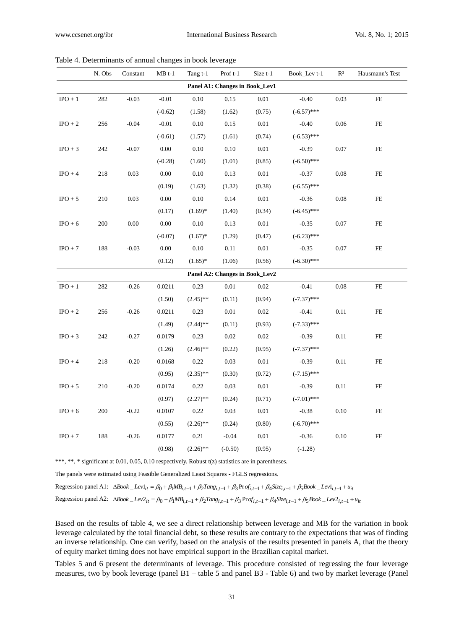|           | N. Obs | Constant | $MB t-1$  | Tang t-1    | Prof t-1  | Size t-1                       | Book_Lev <sub>t-1</sub> | R <sup>2</sup> | Hausmann's Test |
|-----------|--------|----------|-----------|-------------|-----------|--------------------------------|-------------------------|----------------|-----------------|
|           |        |          |           |             |           | Panel A1: Changes in Book_Lev1 |                         |                |                 |
| $IPO + 1$ | 282    | $-0.03$  | $-0.01$   | 0.10        | 0.15      | 0.01                           | $-0.40$                 | 0.03           | $\rm FE$        |
|           |        |          | $(-0.62)$ | (1.58)      | (1.62)    | (0.75)                         | $(-6.57)$ ***           |                |                 |
| $IPO + 2$ | 256    | $-0.04$  | $-0.01$   | 0.10        | 0.15      | 0.01                           | $-0.40$                 | 0.06           | FE              |
|           |        |          | $(-0.61)$ | (1.57)      | (1.61)    | (0.74)                         | $(-6.53)$ ***           |                |                 |
| $IPO + 3$ | 242    | $-0.07$  | 0.00      | 0.10        | 0.10      | 0.01                           | $-0.39$                 | 0.07           | FE              |
|           |        |          | $(-0.28)$ | (1.60)      | (1.01)    | (0.85)                         | $(-6.50)$ ***           |                |                 |
| $IPO + 4$ | 218    | 0.03     | 0.00      | 0.10        | 0.13      | 0.01                           | $-0.37$                 | 0.08           | $\rm FE$        |
|           |        |          | (0.19)    | (1.63)      | (1.32)    | (0.38)                         | $(-6.55)$ ***           |                |                 |
| $IPO + 5$ | 210    | 0.03     | 0.00      | 0.10        | 0.14      | 0.01                           | $-0.36$                 | 0.08           | FE              |
|           |        |          | (0.17)    | $(1.69)^*$  | (1.40)    | (0.34)                         | $(-6.45)$ ***           |                |                 |
| $IPO + 6$ | 200    | 0.00     | 0.00      | 0.10        | 0.13      | 0.01                           | $-0.35$                 | 0.07           | FE              |
|           |        |          | $(-0.07)$ | $(1.67)$ *  | (1.29)    | (0.47)                         | $(-6.23)$ ***           |                |                 |
| $IPO + 7$ | 188    | $-0.03$  | 0.00      | 0.10        | 0.11      | 0.01                           | $-0.35$                 | 0.07           | FE              |
|           |        |          | (0.12)    | $(1.65)^*$  | (1.06)    | (0.56)                         | $(-6.30)$ ***           |                |                 |
|           |        |          |           |             |           | Panel A2: Changes in Book_Lev2 |                         |                |                 |
| $IFO + 1$ | 282    | $-0.26$  | 0.0211    | 0.23        | 0.01      | 0.02                           | $-0.41$                 | 0.08           | FE              |
|           |        |          | (1.50)    | $(2.45)$ ** | (0.11)    | (0.94)                         | $(-7.37)$ ***           |                |                 |
| $IPO + 2$ | 256    | $-0.26$  | 0.0211    | 0.23        | 0.01      | 0.02                           | $-0.41$                 | 0.11           | FE              |
|           |        |          | (1.49)    | $(2.44)$ ** | (0.11)    | (0.93)                         | $(-7.33)$ ***           |                |                 |
| $IPO + 3$ | 242    | $-0.27$  | 0.0179    | 0.23        | 0.02      | 0.02                           | $-0.39$                 | 0.11           | FE              |
|           |        |          | (1.26)    | $(2.46)$ ** | (0.22)    | (0.95)                         | $(-7.37)$ ***           |                |                 |
| $IPO + 4$ | 218    | $-0.20$  | 0.0168    | 0.22        | 0.03      | 0.01                           | $-0.39$                 | 0.11           | $\rm FE$        |
|           |        |          | (0.95)    | $(2.35)$ ** | (0.30)    | (0.72)                         | $(-7.15)$ ***           |                |                 |
| $IPO + 5$ | 210    | $-0.20$  | 0.0174    | 0.22        | 0.03      | 0.01                           | $-0.39$                 | 0.11           | FE              |
|           |        |          | (0.97)    | $(2.27)$ ** | (0.24)    | (0.71)                         | $(-7.01)$ ***           |                |                 |
| $IPO + 6$ | 200    | $-0.22$  | 0.0107    | 0.22        | 0.03      | 0.01                           | $-0.38$                 | 0.10           | FE              |
|           |        |          | (0.55)    | $(2.26)$ ** | (0.24)    | (0.80)                         | $(-6.70)$ ***           |                |                 |
| $IPO + 7$ | 188    | $-0.26$  | 0.0177    | 0.21        | $-0.04$   | 0.01                           | $-0.36$                 | 0.10           | FE              |
|           |        |          | (0.98)    | $(2.26)$ ** | $(-0.50)$ | (0.95)                         | $(-1.28)$               |                |                 |

Table 4. Determinants of annual changes in book leverage

\*\*\*, \*\*, \* significant at 0.01, 0.05, 0.10 respectively. Robust t(z) statistics are in parentheses.

The panels were estimated using Feasible Generalized Least Squares - FGLS regressions.

Regression panel A1:  $\Delta$ *Book*  $\angle$ *Lev*<sub> $i_l$ </sub> =  $\beta_0 + \beta_1 MB_{i,t-1} + \beta_2 Tang_{i,t-1} + \beta_3 Prof_{i,t-1} + \beta_4 Size_{i,t-1} + \beta_5 Book \angle Lev_{i,t-1} + u_{it}$ 

Regression panel A2:  $\Delta Book \_{Lv2_{it}} = \beta_0 + \beta_1 MB_{i,t-1} + \beta_2 Tang_{i,t-1} + \beta_3 Prof_{i,t-1} + \beta_4 Size_{i,t-1} + \beta_5 Book \_{Lv2_{i,t-1}} + u_{it}$ 

Based on the results of table 4, we see a direct relationship between leverage and MB for the variation in book leverage calculated by the total financial debt, so these results are contrary to the expectations that was of finding an inverse relationship. One can verify, based on the analysis of the results presented in panels A, that the theory of equity market timing does not have empirical support in the Brazilian capital market.

Tables 5 and 6 present the determinants of leverage. This procedure consisted of regressing the four leverage measures, two by book leverage (panel B1 – table 5 and panel B3 - Table 6) and two by market leverage (Panel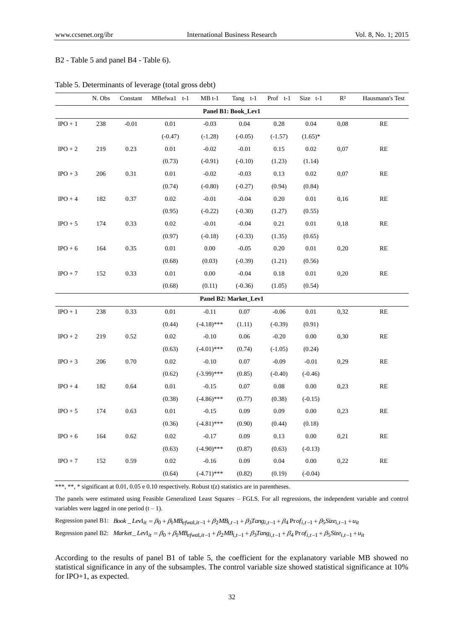#### B2 - Table 5 and panel B4 - Table 6).

|           | N. Obs | Constant | MBefwa1 t-1 | $MB t-1$      | Tang t-1              | Prof t-1  | Size t-1   | R <sup>2</sup> | Hausmann's Test |
|-----------|--------|----------|-------------|---------------|-----------------------|-----------|------------|----------------|-----------------|
|           |        |          |             |               | Panel B1: Book_Lev1   |           |            |                |                 |
| $IPO + 1$ | 238    | $-0.01$  | 0.01        | $-0.03$       | 0.04                  | 0.28      | 0.04       | 0,08           | RE              |
|           |        |          | $(-0.47)$   | $(-1.28)$     | $(-0.05)$             | $(-1.57)$ | $(1.65)^*$ |                |                 |
| $IPO + 2$ | 219    | 0.23     | 0.01        | $-0.02$       | $-0.01$               | 0.15      | 0.02       | 0,07           | RE              |
|           |        |          | (0.73)      | $(-0.91)$     | $(-0.10)$             | (1.23)    | (1.14)     |                |                 |
| $IPO + 3$ | 206    | 0.31     | 0.01        | $-0.02$       | $-0.03$               | 0.13      | 0.02       | 0,07           | RE              |
|           |        |          | (0.74)      | $(-0.80)$     | $(-0.27)$             | (0.94)    | (0.84)     |                |                 |
| $IPO + 4$ | 182    | 0.37     | $0.02\,$    | $-0.01$       | $-0.04$               | 0.20      | $0.01\,$   | 0,16           | $\mathbf{RE}$   |
|           |        |          | (0.95)      | $(-0.22)$     | $(-0.30)$             | (1.27)    | (0.55)     |                |                 |
| $IPO + 5$ | 174    | 0.33     | 0.02        | $-0.01$       | $-0.04$               | 0.21      | 0.01       | 0,18           | $\mathbf{RE}$   |
|           |        |          | (0.97)      | $(-0.18)$     | $(-0.33)$             | (1.35)    | (0.65)     |                |                 |
| $IPO + 6$ | 164    | 0.35     | $0.01\,$    | 0.00          | $-0.05$               | 0.20      | $0.01\,$   | 0,20           | RE              |
|           |        |          | (0.68)      | (0.03)        | $(-0.39)$             | (1.21)    | (0.56)     |                |                 |
| $IPO + 7$ | 152    | 0.33     | $0.01\,$    | 0.00          | $-0.04$               | 0.18      | $0.01\,$   | 0,20           | $\mathbf{RE}$   |
|           |        |          | (0.68)      | (0.11)        | $(-0.36)$             | (1.05)    | (0.54)     |                |                 |
|           |        |          |             |               | Panel B2: Market_Lev1 |           |            |                |                 |
| $IPO + 1$ | 238    | 0.33     | 0.01        | $-0.11$       | 0.07                  | $-0.06$   | 0.01       | 0,32           | $\mathbf{RE}$   |
|           |        |          | (0.44)      | $(-4.18)$ *** | (1.11)                | $(-0.39)$ | (0.91)     |                |                 |
| $IPO + 2$ | 219    | 0.52     | $0.02\,$    | $-0.10$       | 0.06                  | $-0.20$   | 0.00       | 0,30           | $\mathbf{RE}$   |
|           |        |          | (0.63)      | $(-4.01)$ *** | (0.74)                | $(-1.05)$ | (0.24)     |                |                 |
| $IPO + 3$ | 206    | 0.70     | 0.02        | $-0.10$       | 0.07                  | $-0.09$   | $-0.01$    | 0,29           | RE              |
|           |        |          | (0.62)      | $(-3.99)$ *** | (0.85)                | $(-0.40)$ | $(-0.46)$  |                |                 |
| $IPO + 4$ | 182    | 0.64     | 0.01        | $-0.15$       | 0.07                  | 0.08      | 0.00       | 0,23           | RE              |
|           |        |          | (0.38)      | $(-4.86)$ *** | (0.77)                | (0.38)    | $(-0.15)$  |                |                 |
| $IPO + 5$ | 174    | 0.63     | $0.01\,$    | $-0.15$       | 0.09                  | $0.09\,$  | $0.00\,$   | 0,23           | $\mathbf{RE}$   |
|           |        |          | (0.36)      | $(-4.81)$ *** | (0.90)                | (0.44)    | (0.18)     |                |                 |
| $IPO + 6$ | 164    | 0.62     | 0.02        | $-0.17$       | 0.09                  | 0.13      | 0.00       | 0,21           | RE              |
|           |        |          | (0.63)      | $(-4.90)$ *** | (0.87)                | (0.63)    | $(-0.13)$  |                |                 |
| $IPO + 7$ | 152    | 0.59     | 0.02        | $-0.16$       | 0.09                  | $0.04\,$  | $0.00\,$   | 0,22           | $\mathbf{RE}$   |
|           |        |          | (0.64)      | $(-4.71)$ *** | (0.82)                | (0.19)    | $(-0.04)$  |                |                 |

Table 5. Determinants of leverage (total gross debt)

\*\*\*, \*\*, \* significant at 0.01, 0.05 e 0.10 respectively. Robust t(z) statistics are in parentheses.

The panels were estimated using Feasible Generalized Least Squares – FGLS. For all regressions, the independent variable and control variables were lagged in one period  $(t - 1)$ .

Regression panel B1:  $Book\_Levl_{it} = \beta_0 + \beta_1 MB_{efwal, it-1} + \beta_2 MB_{i,t-1} + \beta_3 Tang_{i,t-1} + \beta_4 Prof_{i,t-1} + \beta_5 Size_{i,t-1} + u_{it}$ Regression panel B2:  $Market\_Levl_{it} = \beta_0 + \beta_1 MB_{efwal, it-1} + \beta_2 MB_{i,t-1} + \beta_3 Tang_{i,t-1} + \beta_4 Prof_{i,t-1} + \beta_5 Size_{i,t-1} + u_{it-1}$ 

According to the results of panel B1 of table 5, the coefficient for the explanatory variable MB showed no statistical significance in any of the subsamples. The control variable size showed statistical significance at 10% for IPO+1, as expected.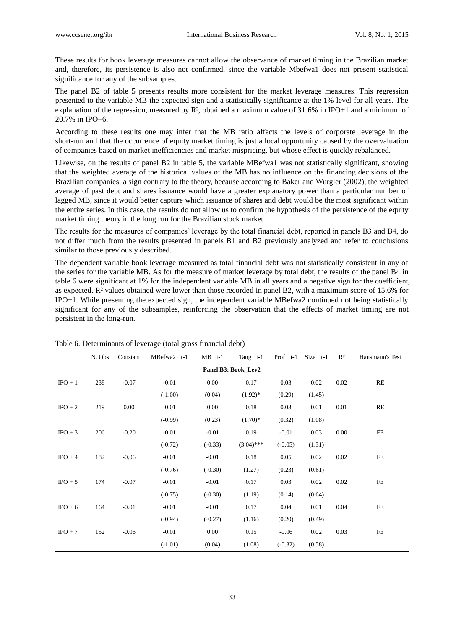These results for book leverage measures cannot allow the observance of market timing in the Brazilian market and, therefore, its persistence is also not confirmed, since the variable Mbefwa1 does not present statistical significance for any of the subsamples.

The panel B2 of table 5 presents results more consistent for the market leverage measures. This regression presented to the variable MB the expected sign and a statistically significance at the 1% level for all years. The explanation of the regression, measured by  $R_1^2$  obtained a maximum value of 31.6% in IPO+1 and a minimum of 20.7% in IPO+6.

According to these results one may infer that the MB ratio affects the levels of corporate leverage in the short-run and that the occurrence of equity market timing is just a local opportunity caused by the overvaluation of companies based on market inefficiencies and market mispricing, but whose effect is quickly rebalanced.

Likewise, on the results of panel B2 in table 5, the variable MBefwa1 was not statistically significant, showing that the weighted average of the historical values of the MB has no influence on the financing decisions of the Brazilian companies, a sign contrary to the theory, because according to Baker and Wurgler (2002), the weighted average of past debt and shares issuance would have a greater explanatory power than a particular number of lagged MB, since it would better capture which issuance of shares and debt would be the most significant within the entire series. In this case, the results do not allow us to confirm the hypothesis of the persistence of the equity market timing theory in the long run for the Brazilian stock market.

The results for the measures of companies' leverage by the total financial debt, reported in panels B3 and B4, do not differ much from the results presented in panels B1 and B2 previously analyzed and refer to conclusions similar to those previously described.

The dependent variable book leverage measured as total financial debt was not statistically consistent in any of the series for the variable MB. As for the measure of market leverage by total debt, the results of the panel B4 in table 6 were significant at 1% for the independent variable MB in all years and a negative sign for the coefficient, as expected. R² values obtained were lower than those recorded in panel B2, with a maximum score of 15.6% for IPO+1. While presenting the expected sign, the independent variable MBefwa2 continued not being statistically significant for any of the subsamples, reinforcing the observation that the effects of market timing are not persistent in the long-run.

|           | N. Obs | Constant | MBefwa2 t-1 | $MB$ t-1                  | Tang t-1            | Prof t-1  | Size t-1 | R <sup>2</sup> | Hausmann's Test |
|-----------|--------|----------|-------------|---------------------------|---------------------|-----------|----------|----------------|-----------------|
|           |        |          |             |                           | Panel B3: Book Lev2 |           |          |                |                 |
| $IPO + 1$ | 238    | $-0.07$  | $-0.01$     | 0.00                      | 0.17                | 0.03      | 0.02     | 0.02           | RE              |
|           |        |          | $(-1.00)$   | (0.04)                    | $(1.92)^*$          | (0.29)    | (1.45)   |                |                 |
| $IPO + 2$ | 219    | 0.00     | $-0.01$     | 0.00                      | 0.18                | 0.03      | 0.01     | 0.01           | RE              |
|           |        |          | $(-0.99)$   | (0.23)                    | $(1.70)^*$          | (0.32)    | (1.08)   |                |                 |
| $IPO + 3$ | 206    | $-0.20$  | $-0.01$     | $-0.01$                   | 0.19                | $-0.01$   | 0.03     | 0.00           | $\rm FE$        |
|           |        |          | $(-0.72)$   | $(3.04)$ ***<br>$(-0.33)$ |                     | $(-0.05)$ | (1.31)   |                |                 |
| $IPO + 4$ | 182    | $-0.06$  | $-0.01$     | $-0.01$                   | 0.18                | 0.05      | 0.02     | 0.02           | $\rm FE$        |
|           |        |          | $(-0.76)$   | $(-0.30)$                 | (1.27)              | (0.23)    | (0.61)   |                |                 |
| $IPO + 5$ | 174    | $-0.07$  | $-0.01$     | $-0.01$                   | 0.17                | 0.03      | 0.02     | 0.02           | $\rm FE$        |
|           |        |          | $(-0.75)$   | $(-0.30)$                 | (1.19)              | (0.14)    | (0.64)   |                |                 |
| $IPO + 6$ | 164    | $-0.01$  | $-0.01$     | $-0.01$                   | 0.17                | 0.04      | 0.01     | 0.04           | $FE$            |
|           |        |          | $(-0.94)$   | $(-0.27)$                 | (1.16)              | (0.20)    | (0.49)   |                |                 |
| $IPO + 7$ | 152    | $-0.06$  | $-0.01$     | $0.00\,$                  | 0.15                | $-0.06$   | 0.02     | 0.03           | FE              |
|           |        |          | $(-1.01)$   | (0.04)                    | (1.08)              | $(-0.32)$ | (0.58)   |                |                 |

Table 6. Determinants of leverage (total gross financial debt)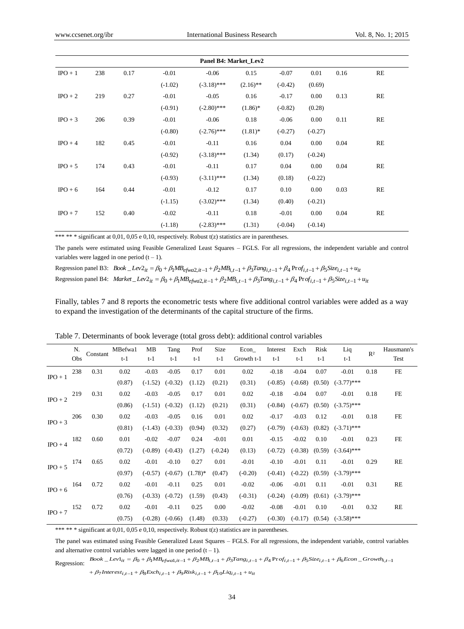|           |     |      |           | Panel B4: Market Lev2 |             |           |           |      |    |
|-----------|-----|------|-----------|-----------------------|-------------|-----------|-----------|------|----|
| $IPO + 1$ | 238 | 0.17 | $-0.01$   | $-0.06$               | 0.15        | $-0.07$   | 0.01      | 0.16 | RE |
|           |     |      | $(-1.02)$ | $(-3.18)$ ***         | $(2.16)$ ** | $(-0.42)$ | (0.69)    |      |    |
| $IPO + 2$ | 219 | 0.27 | $-0.01$   | $-0.05$               | 0.16        | $-0.17$   | 0.00      | 0.13 | RE |
|           |     |      | $(-0.91)$ | $(-2.80)$ ***         | $(1.86)^*$  | $(-0.82)$ | (0.28)    |      |    |
| $IPO + 3$ | 206 | 0.39 | $-0.01$   | $-0.06$               | 0.18        | $-0.06$   | 0.00      | 0.11 | RE |
|           |     |      | $(-0.80)$ | $(-2.76)$ ***         | $(1.81)^*$  | $(-0.27)$ | $(-0.27)$ |      |    |
| $IPO + 4$ | 182 | 0.45 | $-0.01$   | $-0.11$               | 0.16        | 0.04      | 0.00      | 0.04 | RE |
|           |     |      | $(-0.92)$ | $(-3.18)$ ***         | (1.34)      | (0.17)    | $(-0.24)$ |      |    |
| $IPO + 5$ | 174 | 0.43 | $-0.01$   | $-0.11$               | 0.17        | 0.04      | 0.00      | 0.04 | RE |
|           |     |      | $(-0.93)$ | $(-3.11)$ ***         | (1.34)      | (0.18)    | $(-0.22)$ |      |    |
| $IPO + 6$ | 164 | 0.44 | $-0.01$   | $-0.12$               | 0.17        | 0.10      | 0.00      | 0.03 | RE |
|           |     |      | $(-1.15)$ | $(-3.02)$ ***         | (1.34)      | (0.40)    | $(-0.21)$ |      |    |
| $IPO + 7$ | 152 | 0.40 | $-0.02$   | $-0.11$               | 0.18        | $-0.01$   | $0.00\,$  | 0.04 | RE |
|           |     |      | $(-1.18)$ | $(-2.83)$ ***         | (1.31)      | $(-0.04)$ | $(-0.14)$ |      |    |

\*\*\*\*\* \* significant at 0,01, 0,05 e 0,10, respectively. Robust  $t(z)$  statistics are in parentheses.

The panels were estimated using Feasible Generalized Least Squares – FGLS. For all regressions, the independent variable and control variables were lagged in one period  $(t - 1)$ .

Regression panel B3:  $Book \_Lev2_{it} = \beta_0 + \beta_1 MB_{efwa2, it-1} + \beta_2 MB_{i,t-1} + \beta_3 Tang_{i,t-1} + \beta_4 Prof_{i,t-1} + \beta_5 Size_{i,t-1} + u_{it}$ Regression panel B4:  $Market\_Lev2_{it} = \beta_0 + \beta_1 MB_{efwa2,it-1} + \beta_2 MB_{i,t-1} + \beta_3 Tang_{i,t-1} + \beta_4 Prof_{i,t-1} + \beta_5 Size_{i,t-1} + u_{it-1}$ 

Finally, tables 7 and 8 reports the econometric tests where five additional control variables were added as a way to expand the investigation of the determinants of the capital structure of the firms.

|           | N.<br>Obs | Constant | MBefwa1<br>$t-1$ | MB<br>t-1 | Tang<br>$t-1$ | Prof<br>$t-1$ | Size<br>$t-1$ | Econ_<br>Growth t-1 | Interest<br>$t-1$ | Exch<br>t-1 | Risk<br>$t-1$ | Liq<br>t-1             | R <sup>2</sup> | Hausmann's<br>Test |
|-----------|-----------|----------|------------------|-----------|---------------|---------------|---------------|---------------------|-------------------|-------------|---------------|------------------------|----------------|--------------------|
| $IPO + 1$ | 238       | 0.31     | 0.02             | $-0.03$   | $-0.05$       | 0.17          | 0.01          | 0.02                | $-0.18$           | $-0.04$     | 0.07          | $-0.01$                | 0.18           | FE                 |
|           |           |          | (0.87)           | $(-1.52)$ | $(-0.32)$     | (1.12)        | (0.21)        | (0.31)              | $(-0.85)$         | $(-0.68)$   | (0.50)        | $(-3.77)$ ***          |                |                    |
| $IPO + 2$ | 219       | 0.31     | 0.02             | $-0.03$   | $-0.05$       | 0.17          | 0.01          | 0.02                | $-0.18$           | $-0.04$     | 0.07          | $-0.01$                | 0.18           | FE                 |
|           |           |          | (0.86)           | $(-1.51)$ | $(-0.32)$     | (1.12)        | (0.21)        | (0.31)              | $(-0.84)$         | $(-0.67)$   | (0.50)        | $(-3.75)$ ***          |                |                    |
| $IPO + 3$ | 206       | 0.30     | 0.02             | $-0.03$   | $-0.05$       | 0.16          | 0.01          | 0.02                | $-0.17$           | $-0.03$     | 0.12          | $-0.01$                | 0.18           | FE                 |
|           |           |          | (0.81)           | $(-1.43)$ | $(-0.33)$     | (0.94)        | (0.32)        | (0.27)              | $(-0.79)$         | $(-0.63)$   | (0.82)        | $(-3.71)$ ***          |                |                    |
| $IPO + 4$ | 182       | 0.60     | 0.01             | $-0.02$   | $-0.07$       | 0.24          | $-0.01$       | 0.01                | $-0.15$           | $-0.02$     | 0.10          | $-0.01$                | 0.23           | FE                 |
|           |           |          | (0.72)           | $(-0.89)$ | $(-0.43)$     | (1.27)        | $(-0.24)$     | (0.13)              | $(-0.72)$         | $(-0.38)$   | (0.59)        | $(-3.64)$ ***          |                |                    |
| $IPO + 5$ | 174       | 0.65     | 0.02             | $-0.01$   | $-0.10$       | 0.27          | 0.01          | $-0.01$             | $-0.10$           | $-0.01$     | 0.11          | $-0.01$                | 0.29           | RE                 |
|           |           |          | (0.97)           | $(-0.57)$ | $(-0.67)$     | $(1.78)$ *    | (0.47)        | $(-0.20)$           | $(-0.41)$         | $(-0.22)$   | (0.59)        | $(-3.79)$ ***          |                |                    |
| $IPO + 6$ | 164       | 0.72     | 0.02             | $-0.01$   | $-0.11$       | 0.25          | 0.01          | $-0.02$             | $-0.06$           | $-0.01$     | 0.11          | $-0.01$                | 0.31           | RE                 |
|           |           |          | (0.76)           | $(-0.33)$ | $(-0.72)$     | (1.59)        | (0.43)        | $(-0.31)$           | $(-0.24)$         | $(-0.09)$   | (0.61)        | $(-3.79)$ ***          |                |                    |
| $IPO + 7$ | 152       | 0.72     | 0.02             | $-0.01$   | $-0.11$       | 0.25          | 0.00          | $-0.02$             | $-0.08$           | $-0.01$     | 0.10          | $-0.01$                | 0.32           | RE                 |
|           |           |          | (0.75)           | $(-0.28)$ | $(-0.66)$     | (1.48)        | (0.33)        | $(-0.27)$           | $(-0.30)$         | $(-0.17)$   |               | $(0.54)$ $(-3.58)$ *** |                |                    |

Table 7. Determinants of book leverage (total gross debt): additional control variables

\*\*\*\*\* \* significant at 0,01, 0,05 e 0,10, respectively. Robust t(z) statistics are in parentheses.

The panel was estimated using Feasible Generalized Least Squares – FGLS. For all regressions, the independent variable, control variables and alternative control variables were lagged in one period  $(t - 1)$ .

Regression: *i t i t i t i t it Interest Exch Risk Liq u* <sup>7</sup> , <sup>1</sup> <sup>8</sup> , <sup>1</sup> <sup>9</sup> , <sup>1</sup> 1 0 , <sup>1</sup>  $Book \_\_Lev1_{it} = \beta_0 + \beta_1 MB_{e\text{-}fwa1, it-1} + \beta_2 MB_{i, t-1} + \beta_3 Tang_{i, t-1} + \beta_4 Prof_{i, t-1} + \beta_5 Size_{i, t-1} + \beta_6 Econ \_\_Grow$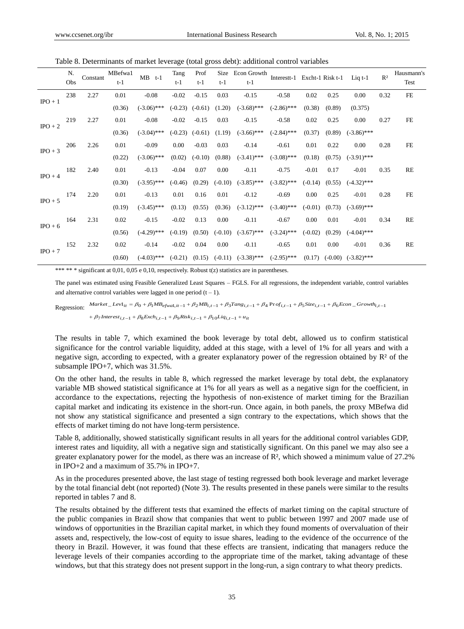|           | N.<br>Obs | Constant | MBefwa1<br>$t-1$ | $MB$ t-1      | Tang<br>$t-1$ | Prof<br>$t-1$ | $t-1$     | Size Econ Growth<br>t-1 | Interestt-1 Excht-1 Risk t-1 |           |           | Liq $t-1$     | R <sup>2</sup> | Hausmann's<br>Test |
|-----------|-----------|----------|------------------|---------------|---------------|---------------|-----------|-------------------------|------------------------------|-----------|-----------|---------------|----------------|--------------------|
| $IPO + 1$ | 238       | 2.27     | 0.01             | $-0.08$       | $-0.02$       | $-0.15$       | 0.03      | $-0.15$                 | $-0.58$                      | 0.02      | 0.25      | 0.00          | 0.32           | $\rm FE$           |
|           |           |          | (0.36)           | $(-3.06)$ *** | $(-0.23)$     | $(-0.61)$     | (1.20)    | $(-3.68)$ ***           | $(-2.86)$ ***                | (0.38)    | (0.89)    | (0.375)       |                |                    |
| $IPO + 2$ | 219       | 2.27     | 0.01             | $-0.08$       | $-0.02$       | $-0.15$       | 0.03      | $-0.15$                 | $-0.58$                      | 0.02      | 0.25      | 0.00          | 0.27           | FE                 |
|           |           |          | (0.36)           | $(-3.04)$ *** | $(-0.23)$     | $(-0.61)$     | (1.19)    | $(-3.66)$ ***           | $(-2.84)$ ***                | (0.37)    | (0.89)    | $(-3.86)$ *** |                |                    |
| $IPO + 3$ | 206       | 2.26     | 0.01             | $-0.09$       | 0.00          | $-0.03$       | 0.03      | $-0.14$                 | $-0.61$                      | 0.01      | 0.22      | 0.00          | 0.28           | $\rm FE$           |
|           |           |          | (0.22)           | $(-3.06)$ *** | (0.02)        | $(-0.10)$     | (0.88)    | $(-3.41)$ ***           | $(-3.08)$ ***                | (0.18)    | (0.75)    | $(-3.91)$ *** |                |                    |
| $IPO + 4$ | 182       | 2.40     | 0.01             | $-0.13$       | $-0.04$       | 0.07          | 0.00      | $-0.11$                 | $-0.75$                      | $-0.01$   | 0.17      | $-0.01$       | 0.35           | RE                 |
|           |           |          | (0.30)           | $(-3.95)$ *** | $(-0.46)$     | (0.29)        | $(-0.10)$ | $(-3.85)$ ***           | $(-3.82)$ ***                | $(-0.14)$ | (0.55)    | $(-4.32)$ *** |                |                    |
| $IPO + 5$ | 174       | 2.20     | 0.01             | $-0.13$       | 0.01          | 0.16          | 0.01      | $-0.12$                 | $-0.69$                      | 0.00      | 0.25      | $-0.01$       | 0.28           | FE                 |
|           |           |          | (0.19)           | $(-3.45)$ *** | (0.13)        | (0.55)        | (0.36)    | $(-3.12)$ ***           | $(-3.40)$ ***                | $(-0.01)$ | (0.73)    | $(-3.69)$ *** |                |                    |
| $IPO + 6$ | 164       | 2.31     | 0.02             | $-0.15$       | $-0.02$       | 0.13          | 0.00      | $-0.11$                 | $-0.67$                      | 0.00      | 0.01      | $-0.01$       | 0.34           | RE                 |
|           |           |          | (0.56)           | $(-4.29)$ *** | $(-0.19)$     | (0.50)        | $(-0.10)$ | $(-3.67)$ ***           | $(-3.24)$ ***                | $(-0.02)$ | (0.29)    | $(-4.04)$ *** |                |                    |
| $IPO + 7$ | 152       | 2.32     | 0.02             | $-0.14$       | $-0.02$       | 0.04          | 0.00      | $-0.11$                 | $-0.65$                      | 0.01      | 0.00      | $-0.01$       | 0.36           | RE                 |
|           |           |          | (0.60)           | $(-4.03)$ *** | $(-0.21)$     | (0.15)        | $(-0.11)$ | $(-3.38)$ ***           | $(-2.95)$ ***                | (0.17)    | $(-0.00)$ | $(-3.82)$ *** |                |                    |

\*\*\* \*\* significant at  $0.01, 0.05$  e  $0.10$ , respectively. Robust t(z) statistics are in parentheses.

The panel was estimated using Feasible Generalized Least Squares – FGLS. For all regressions, the independent variable, control variables and alternative control variables were lagged in one period  $(t - 1)$ .

Regression:  $Market\_Levl_{it} = \beta_0 + \beta_1 MB_{efwal, it-1} + \beta_2 MB_{i,t-1} + \beta_3 Tang_{i,t-1} + \beta_4 Prof_{i,t-1} + \beta_5 Size_{i,t-1} + \beta_6 Econ\_Growth_{i,t-1} + \beta_7 m_{i,t-1} + \beta_8 m_{i,t-1} + \beta_9 m_{i,t-1} + \beta_9 m_{i,t-1} + \beta_9 m_{i,t-1} + \beta_9 m_{i,t-1} + \beta_9 m_{i,t-1} + \beta_9 m_{i,t-1} + \beta_9 m_{i,t-1} + \beta_9 m_{i,t-1$  $+ \beta_7$  Interest<sub>i,t-1</sub>  $+ \beta_8$  Exch<sub>i,t-1</sub>  $+ \beta_9$  Risk<sub>i,t-1</sub>  $+ \beta_{10}$  Liq<sub>i,t-1</sub>  $+ u_{it}$  $\begin{split} rket\_Lev1_{it} = \beta_0 + \beta_1 MB_{efwal, it-1} + \beta_2 MB_{i, t-1} + \beta_3 Tang_{i, t-1} + \beta_4 \Pr of_{i, t-1} + \beta_5 Size_{i, t-1} + \beta_6 Econ\_Growth_{i, t-1} \\ \end{split}$ 

The results in table 7, which examined the book leverage by total debt, allowed us to confirm statistical significance for the control variable liquidity, added at this stage, with a level of 1% for all years and with a negative sign, according to expected, with a greater explanatory power of the regression obtained by  $R<sup>2</sup>$  of the subsample IPO+7, which was 31.5%.

On the other hand, the results in table 8, which regressed the market leverage by total debt, the explanatory variable MB showed statistical significance at 1% for all years as well as a negative sign for the coefficient, in accordance to the expectations, rejecting the hypothesis of non-existence of market timing for the Brazilian capital market and indicating its existence in the short-run. Once again, in both panels, the proxy MBefwa did not show any statistical significance and presented a sign contrary to the expectations, which shows that the effects of market timing do not have long-term persistence.

Table 8, additionally, showed statistically significant results in all years for the additional control variables GDP, interest rates and liquidity, all with a negative sign and statistically significant. On this panel we may also see a greater explanatory power for the model, as there was an increase of  $R<sup>2</sup>$ , which showed a minimum value of 27.2% in IPO+2 and a maximum of 35.7% in IPO+7.

As in the procedures presented above, the last stage of testing regressed both book leverage and market leverage by the total financial debt (not reported) (Note 3). The results presented in these panels were similar to the results reported in tables 7 and 8.

The results obtained by the different tests that examined the effects of market timing on the capital structure of the public companies in Brazil show that companies that went to public between 1997 and 2007 made use of windows of opportunities in the Brazilian capital market, in which they found moments of overvaluation of their assets and, respectively, the low-cost of equity to issue shares, leading to the evidence of the occurrence of the theory in Brazil. However, it was found that these effects are transient, indicating that managers reduce the leverage levels of their companies according to the appropriate time of the market, taking advantage of these windows, but that this strategy does not present support in the long-run, a sign contrary to what theory predicts.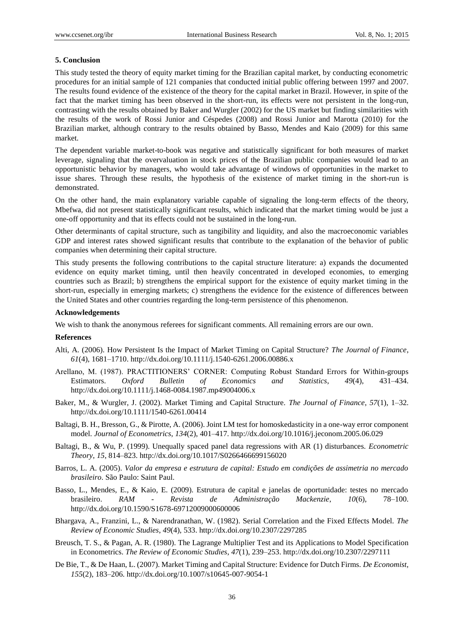## **5. Conclusion**

This study tested the theory of equity market timing for the Brazilian capital market, by conducting econometric procedures for an initial sample of 121 companies that conducted initial public offering between 1997 and 2007. The results found evidence of the existence of the theory for the capital market in Brazil. However, in spite of the fact that the market timing has been observed in the short-run, its effects were not persistent in the long-run, contrasting with the results obtained by Baker and Wurgler (2002) for the US market but finding similarities with the results of the work of Rossi Junior and Céspedes (2008) and Rossi Junior and Marotta (2010) for the Brazilian market, although contrary to the results obtained by Basso, Mendes and Kaio (2009) for this same market.

The dependent variable market-to-book was negative and statistically significant for both measures of market leverage, signaling that the overvaluation in stock prices of the Brazilian public companies would lead to an opportunistic behavior by managers, who would take advantage of windows of opportunities in the market to issue shares. Through these results, the hypothesis of the existence of market timing in the short-run is demonstrated.

On the other hand, the main explanatory variable capable of signaling the long-term effects of the theory, Mbefwa, did not present statistically significant results, which indicated that the market timing would be just a one-off opportunity and that its effects could not be sustained in the long-run.

Other determinants of capital structure, such as tangibility and liquidity, and also the macroeconomic variables GDP and interest rates showed significant results that contribute to the explanation of the behavior of public companies when determining their capital structure.

This study presents the following contributions to the capital structure literature: a) expands the documented evidence on equity market timing, until then heavily concentrated in developed economies, to emerging countries such as Brazil; b) strengthens the empirical support for the existence of equity market timing in the short-run, especially in emerging markets; c) strengthens the evidence for the existence of differences between the United States and other countries regarding the long-term persistence of this phenomenon.

## **Acknowledgements**

We wish to thank the anonymous referees for significant comments. All remaining errors are our own.

#### **References**

- Alti, A. (2006). How Persistent Is the Impact of Market Timing on Capital Structure? *The Journal of Finance*, *61*(4), 1681–1710. http://dx.doi.org/10.1111/j.1540-6261.2006.00886.x
- Arellano, M. (1987). PRACTITIONERS' CORNER: Computing Robust Standard Errors for Within-groups Estimators. *Oxford Bulletin of Economics and Statistics*, *49*(4), 431–434. http://dx.doi.org/10.1111/j.1468-0084.1987.mp49004006.x
- Baker, M., & Wurgler, J. (2002). Market Timing and Capital Structure. *The Journal of Finance*, *57*(1), 1–32. http://dx.doi.org/10.1111/1540-6261.00414
- Baltagi, B. H., Bresson, G., & Pirotte, A. (2006). Joint LM test for homoskedasticity in a one-way error component model. *Journal of Econometrics*, *134*(2), 401–417. http://dx.doi.org/10.1016/j.jeconom.2005.06.029
- Baltagi, B., & Wu, P. (1999). Unequally spaced panel data regressions with AR (1) disturbances. *Econometric Theory*, *15*, 814–823. http://dx.doi.org/10.1017/S0266466699156020
- Barros, L. A. (2005). *Valor da empresa e estrutura de capital: Estudo em condições de assimetria no mercado brasileiro*. São Paulo: Saint Paul.
- Basso, L., Mendes, E., & Kaio, E. (2009). Estrutura de capital e janelas de oportunidade: testes no mercado brasileiro. *RAM - Revista de Administração Mackenzie*, *10*(6), 78–100. http://dx.doi.org/10.1590/S1678-69712009000600006
- Bhargava, A., Franzini, L., & Narendranathan, W. (1982). Serial Correlation and the Fixed Effects Model. *The Review of Economic Studies*, *49*(4), 533. http://dx.doi.org/10.2307/2297285
- Breusch, T. S., & Pagan, A. R. (1980). The Lagrange Multiplier Test and its Applications to Model Specification in Econometrics. *The Review of Economic Studies*, *47*(1), 239–253. http://dx.doi.org/10.2307/2297111
- De Bie, T., & De Haan, L. (2007). Market Timing and Capital Structure: Evidence for Dutch Firms. *De Economist*, *155*(2), 183–206. http://dx.doi.org/10.1007/s10645-007-9054-1